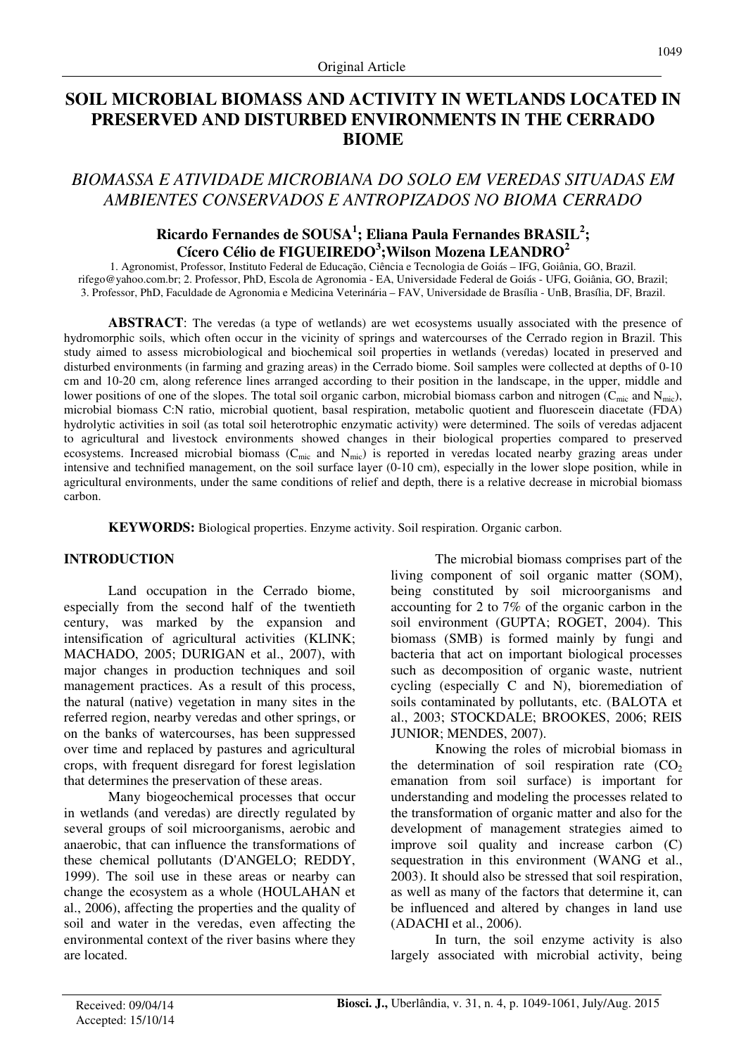# **SOIL MICROBIAL BIOMASS AND ACTIVITY IN WETLANDS LOCATED IN PRESERVED AND DISTURBED ENVIRONMENTS IN THE CERRADO BIOME**

## *BIOMASSA E ATIVIDADE MICROBIANA DO SOLO EM VEREDAS SITUADAS EM AMBIENTES CONSERVADOS E ANTROPIZADOS NO BIOMA CERRADO*

## **Ricardo Fernandes de SOUSA<sup>1</sup> ; Eliana Paula Fernandes BRASIL<sup>2</sup> ; Cícero Célio de FIGUEIREDO<sup>3</sup> ;Wilson Mozena LEANDRO<sup>2</sup>**

1. Agronomist, Professor, Instituto Federal de Educação, Ciência e Tecnologia de Goiás – IFG, Goiânia, GO, Brazil. rifego@yahoo.com.br; 2. Professor, PhD, Escola de Agronomia - EA, Universidade Federal de Goiás - UFG, Goiânia, GO, Brazil; 3. Professor, PhD, Faculdade de Agronomia e Medicina Veterinária – FAV, Universidade de Brasília - UnB, Brasília, DF, Brazil.

**ABSTRACT**: The veredas (a type of wetlands) are wet ecosystems usually associated with the presence of hydromorphic soils, which often occur in the vicinity of springs and watercourses of the Cerrado region in Brazil. This study aimed to assess microbiological and biochemical soil properties in wetlands (veredas) located in preserved and disturbed environments (in farming and grazing areas) in the Cerrado biome. Soil samples were collected at depths of 0-10 cm and 10-20 cm, along reference lines arranged according to their position in the landscape, in the upper, middle and lower positions of one of the slopes. The total soil organic carbon, microbial biomass carbon and nitrogen ( $C_{\text{mic}}$  and  $N_{\text{mic}}$ ), microbial biomass C:N ratio, microbial quotient, basal respiration, metabolic quotient and fluorescein diacetate (FDA) hydrolytic activities in soil (as total soil heterotrophic enzymatic activity) were determined. The soils of veredas adjacent to agricultural and livestock environments showed changes in their biological properties compared to preserved ecosystems. Increased microbial biomass ( $C_{\text{mic}}$  and  $N_{\text{mic}}$ ) is reported in veredas located nearby grazing areas under intensive and technified management, on the soil surface layer (0-10 cm), especially in the lower slope position, while in agricultural environments, under the same conditions of relief and depth, there is a relative decrease in microbial biomass carbon.

**KEYWORDS:** Biological properties. Enzyme activity. Soil respiration. Organic carbon.

#### **INTRODUCTION**

Land occupation in the Cerrado biome, especially from the second half of the twentieth century, was marked by the expansion and intensification of agricultural activities (KLINK; MACHADO, 2005; DURIGAN et al., 2007), with major changes in production techniques and soil management practices. As a result of this process, the natural (native) vegetation in many sites in the referred region, nearby veredas and other springs, or on the banks of watercourses, has been suppressed over time and replaced by pastures and agricultural crops, with frequent disregard for forest legislation that determines the preservation of these areas.

Many biogeochemical processes that occur in wetlands (and veredas) are directly regulated by several groups of soil microorganisms, aerobic and anaerobic, that can influence the transformations of these chemical pollutants (D'ANGELO; REDDY, 1999). The soil use in these areas or nearby can change the ecosystem as a whole (HOULAHAN et al., 2006), affecting the properties and the quality of soil and water in the veredas, even affecting the environmental context of the river basins where they are located.

The microbial biomass comprises part of the living component of soil organic matter (SOM), being constituted by soil microorganisms and accounting for 2 to 7% of the organic carbon in the soil environment (GUPTA; ROGET, 2004). This biomass (SMB) is formed mainly by fungi and bacteria that act on important biological processes such as decomposition of organic waste, nutrient cycling (especially C and N), bioremediation of soils contaminated by pollutants, etc. (BALOTA et al., 2003; STOCKDALE; BROOKES, 2006; REIS JUNIOR; MENDES, 2007).

Knowing the roles of microbial biomass in the determination of soil respiration rate  $(CO<sub>2</sub>)$ emanation from soil surface) is important for understanding and modeling the processes related to the transformation of organic matter and also for the development of management strategies aimed to improve soil quality and increase carbon (C) sequestration in this environment (WANG et al., 2003). It should also be stressed that soil respiration, as well as many of the factors that determine it, can be influenced and altered by changes in land use (ADACHI et al., 2006).

In turn, the soil enzyme activity is also largely associated with microbial activity, being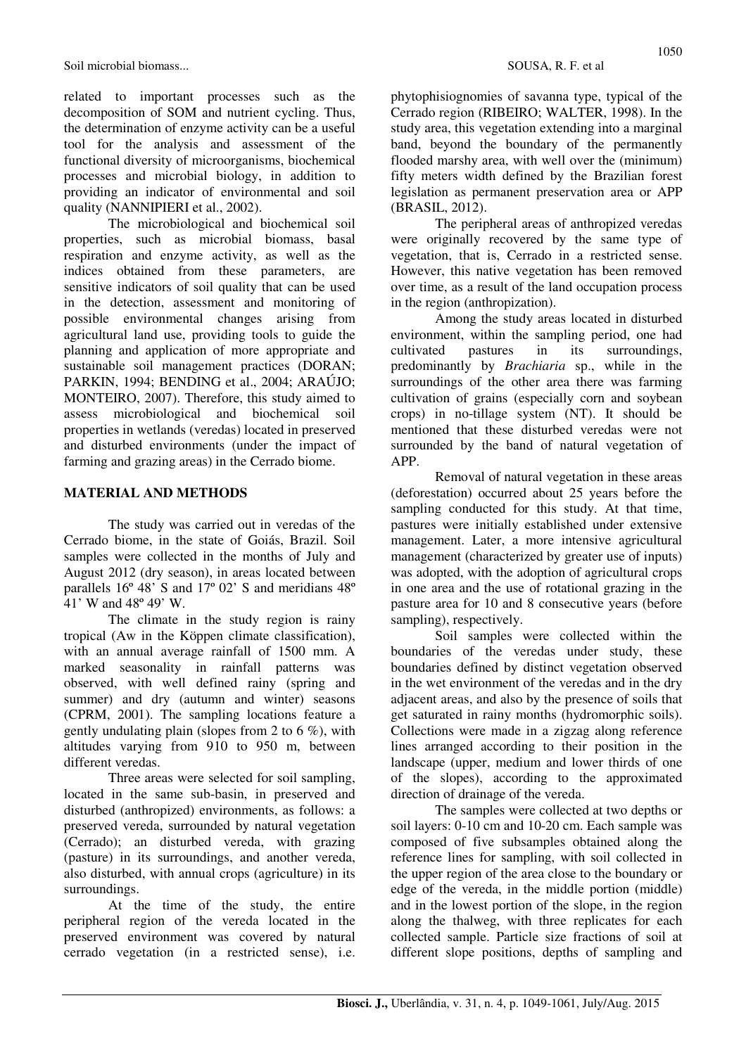Soil microbial biomass... SOUSA, R. F. et al.

related to important processes such as the decomposition of SOM and nutrient cycling. Thus, the determination of enzyme activity can be a useful tool for the analysis and assessment of the functional diversity of microorganisms, biochemical processes and microbial biology, in addition to providing an indicator of environmental and soil quality (NANNIPIERI et al., 2002).

The microbiological and biochemical soil properties, such as microbial biomass, basal respiration and enzyme activity, as well as the indices obtained from these parameters, are sensitive indicators of soil quality that can be used in the detection, assessment and monitoring of possible environmental changes arising from agricultural land use, providing tools to guide the planning and application of more appropriate and sustainable soil management practices (DORAN; PARKIN, 1994; BENDING et al., 2004; ARAÚJO; MONTEIRO, 2007). Therefore, this study aimed to assess microbiological and biochemical soil properties in wetlands (veredas) located in preserved and disturbed environments (under the impact of farming and grazing areas) in the Cerrado biome.

### **MATERIAL AND METHODS**

The study was carried out in veredas of the Cerrado biome, in the state of Goiás, Brazil. Soil samples were collected in the months of July and August 2012 (dry season), in areas located between parallels 16º 48' S and 17º 02' S and meridians 48º 41' W and 48º 49' W.

The climate in the study region is rainy tropical (Aw in the Köppen climate classification), with an annual average rainfall of 1500 mm. A marked seasonality in rainfall patterns was observed, with well defined rainy (spring and summer) and dry (autumn and winter) seasons (CPRM, 2001). The sampling locations feature a gently undulating plain (slopes from 2 to 6  $\%$ ), with altitudes varying from 910 to 950 m, between different veredas.

Three areas were selected for soil sampling, located in the same sub-basin, in preserved and disturbed (anthropized) environments, as follows: a preserved vereda, surrounded by natural vegetation (Cerrado); an disturbed vereda, with grazing (pasture) in its surroundings, and another vereda, also disturbed, with annual crops (agriculture) in its surroundings.

At the time of the study, the entire peripheral region of the vereda located in the preserved environment was covered by natural cerrado vegetation (in a restricted sense), i.e. phytophisiognomies of savanna type, typical of the Cerrado region (RIBEIRO; WALTER, 1998). In the study area, this vegetation extending into a marginal band, beyond the boundary of the permanently flooded marshy area, with well over the (minimum) fifty meters width defined by the Brazilian forest legislation as permanent preservation area or APP (BRASIL, 2012).

The peripheral areas of anthropized veredas were originally recovered by the same type of vegetation, that is, Cerrado in a restricted sense. However, this native vegetation has been removed over time, as a result of the land occupation process in the region (anthropization).

Among the study areas located in disturbed environment, within the sampling period, one had cultivated pastures in its surroundings, predominantly by *Brachiaria* sp., while in the surroundings of the other area there was farming cultivation of grains (especially corn and soybean crops) in no-tillage system (NT). It should be mentioned that these disturbed veredas were not surrounded by the band of natural vegetation of APP.

Removal of natural vegetation in these areas (deforestation) occurred about 25 years before the sampling conducted for this study. At that time, pastures were initially established under extensive management. Later, a more intensive agricultural management (characterized by greater use of inputs) was adopted, with the adoption of agricultural crops in one area and the use of rotational grazing in the pasture area for 10 and 8 consecutive years (before sampling), respectively.

Soil samples were collected within the boundaries of the veredas under study, these boundaries defined by distinct vegetation observed in the wet environment of the veredas and in the dry adjacent areas, and also by the presence of soils that get saturated in rainy months (hydromorphic soils). Collections were made in a zigzag along reference lines arranged according to their position in the landscape (upper, medium and lower thirds of one of the slopes), according to the approximated direction of drainage of the vereda.

The samples were collected at two depths or soil layers: 0-10 cm and 10-20 cm. Each sample was composed of five subsamples obtained along the reference lines for sampling, with soil collected in the upper region of the area close to the boundary or edge of the vereda, in the middle portion (middle) and in the lowest portion of the slope, in the region along the thalweg, with three replicates for each collected sample. Particle size fractions of soil at different slope positions, depths of sampling and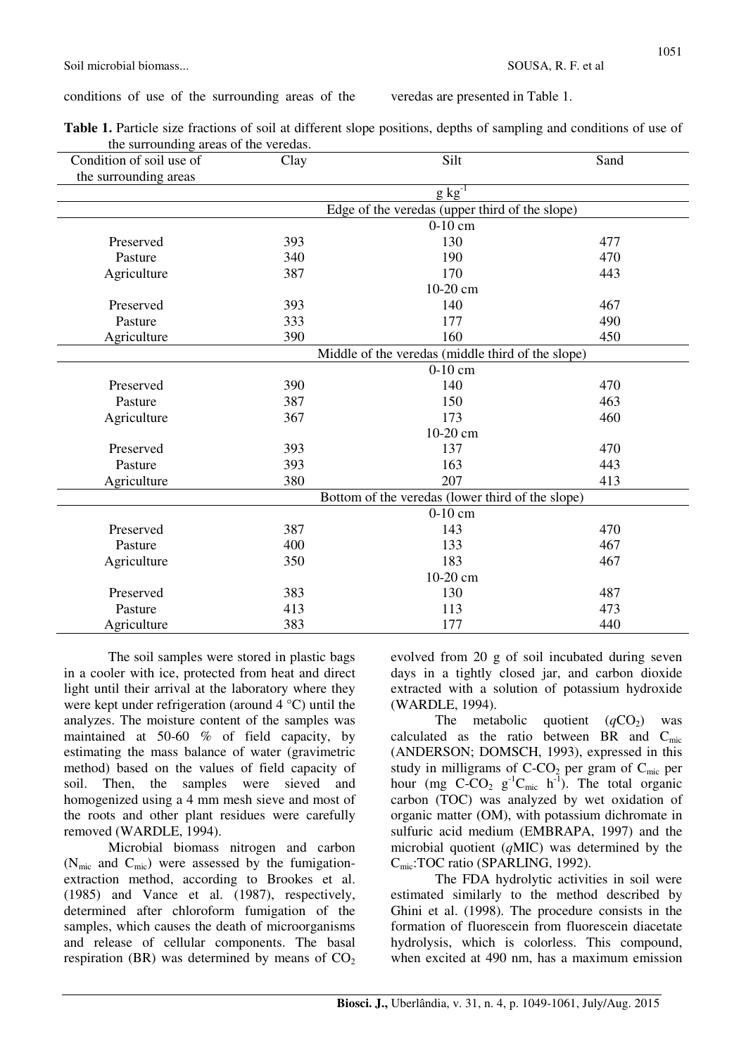conditions of use of the surrounding areas of the veredas are presented in Table 1.

| Table 1. Particle size fractions of soil at different slope positions, depths of sampling and conditions of use of |  |
|--------------------------------------------------------------------------------------------------------------------|--|
| the surrounding areas of the veredas.                                                                              |  |

| Condition of soil use of | Clay | Silt                                              | Sand |
|--------------------------|------|---------------------------------------------------|------|
| the surrounding areas    |      |                                                   |      |
|                          |      | $g kg^{-1}$                                       |      |
|                          |      | Edge of the veredas (upper third of the slope)    |      |
|                          |      | $0-10$ cm                                         |      |
| Preserved                | 393  | 130                                               | 477  |
| Pasture                  | 340  | 190                                               | 470  |
| Agriculture              | 387  | 170                                               | 443  |
|                          |      | 10-20 cm                                          |      |
| Preserved                | 393  | 140                                               | 467  |
| Pasture                  | 333  | 177                                               | 490  |
| Agriculture              | 390  | 160                                               | 450  |
|                          |      | Middle of the veredas (middle third of the slope) |      |
|                          |      | $0-10$ cm                                         |      |
| Preserved                | 390  | 140                                               | 470  |
| Pasture                  | 387  | 150                                               | 463  |
| Agriculture              | 367  | 173                                               | 460  |
|                          |      | 10-20 cm                                          |      |
| Preserved                | 393  | 137                                               | 470  |
| Pasture                  | 393  | 163                                               | 443  |
| Agriculture              | 380  | 207                                               | 413  |
|                          |      | Bottom of the veredas (lower third of the slope)  |      |
|                          |      | $0-10$ cm                                         |      |
| Preserved                | 387  | 143                                               | 470  |
| Pasture                  | 400  | 133                                               | 467  |
| Agriculture              | 350  | 183                                               | 467  |
|                          |      | 10-20 cm                                          |      |
| Preserved                | 383  | 130                                               | 487  |
| Pasture                  | 413  | 113                                               | 473  |
|                          | 383  | 177                                               | 440  |
| Agriculture              |      |                                                   |      |

The soil samples were stored in plastic bags in a cooler with ice, protected from heat and direct light until their arrival at the laboratory where they were kept under refrigeration (around 4 °C) until the analyzes. The moisture content of the samples was maintained at 50-60 % of field capacity, by estimating the mass balance of water (gravimetric method) based on the values of field capacity of soil. Then, the samples were sieved and homogenized using a 4 mm mesh sieve and most of the roots and other plant residues were carefully removed (WARDLE, 1994).

Microbial biomass nitrogen and carbon ( $N_{\text{mic}}$  and  $C_{\text{mic}}$ ) were assessed by the fumigationextraction method, according to Brookes et al. (1985) and Vance et al. (1987), respectively, determined after chloroform fumigation of the samples, which causes the death of microorganisms and release of cellular components. The basal respiration (BR) was determined by means of  $CO<sub>2</sub>$  evolved from 20 g of soil incubated during seven days in a tightly closed jar, and carbon dioxide extracted with a solution of potassium hydroxide (WARDLE, 1994).

The metabolic quotient  $(qCO<sub>2</sub>)$  was calculated as the ratio between BR and  $C_{\text{mic}}$ (ANDERSON; DOMSCH, 1993), expressed in this study in milligrams of  $C-CO<sub>2</sub>$  per gram of  $C<sub>mic</sub>$  per hour (mg  $C-CO_2$  g<sup>-1</sup>C<sub>mic</sub> h<sup>-1</sup>). The total organic carbon (TOC) was analyzed by wet oxidation of organic matter (OM), with potassium dichromate in sulfuric acid medium (EMBRAPA, 1997) and the microbial quotient (*q*MIC) was determined by the C<sub>mic</sub>:TOC ratio (SPARLING, 1992).

The FDA hydrolytic activities in soil were estimated similarly to the method described by Ghini et al. (1998). The procedure consists in the formation of fluorescein from fluorescein diacetate hydrolysis, which is colorless. This compound, when excited at 490 nm, has a maximum emission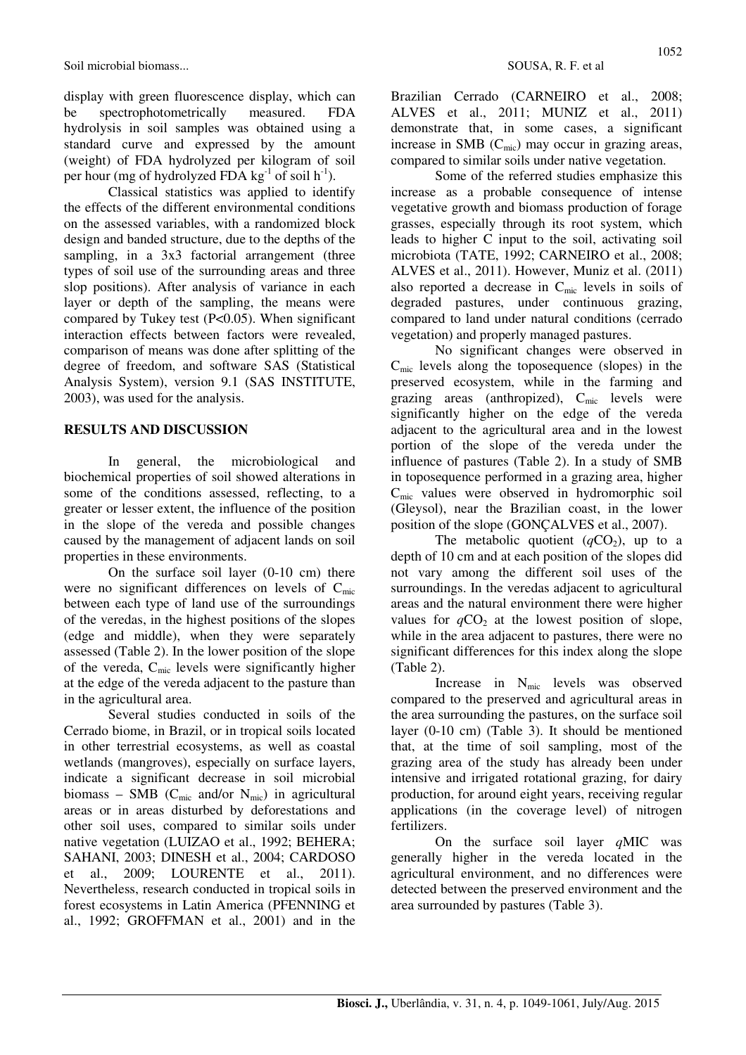display with green fluorescence display, which can be spectrophotometrically measured. FDA hydrolysis in soil samples was obtained using a standard curve and expressed by the amount (weight) of FDA hydrolyzed per kilogram of soil per hour (mg of hydrolyzed FDA kg<sup>-1</sup> of soil  $h^{-1}$ ).

Classical statistics was applied to identify the effects of the different environmental conditions on the assessed variables, with a randomized block design and banded structure, due to the depths of the sampling, in a 3x3 factorial arrangement (three types of soil use of the surrounding areas and three slop positions). After analysis of variance in each layer or depth of the sampling, the means were compared by Tukey test (P<0.05). When significant interaction effects between factors were revealed, comparison of means was done after splitting of the degree of freedom, and software SAS (Statistical Analysis System), version 9.1 (SAS INSTITUTE, 2003), was used for the analysis.

#### **RESULTS AND DISCUSSION**

In general, the microbiological and biochemical properties of soil showed alterations in some of the conditions assessed, reflecting, to a greater or lesser extent, the influence of the position in the slope of the vereda and possible changes caused by the management of adjacent lands on soil properties in these environments.

On the surface soil layer (0-10 cm) there were no significant differences on levels of  $C_{\text{mic}}$ between each type of land use of the surroundings of the veredas, in the highest positions of the slopes (edge and middle), when they were separately assessed (Table 2). In the lower position of the slope of the vereda, Cmic levels were significantly higher at the edge of the vereda adjacent to the pasture than in the agricultural area.

Several studies conducted in soils of the Cerrado biome, in Brazil, or in tropical soils located in other terrestrial ecosystems, as well as coastal wetlands (mangroves), especially on surface layers, indicate a significant decrease in soil microbial biomass – SMB ( $C_{\text{mic}}$  and/or  $N_{\text{mic}}$ ) in agricultural areas or in areas disturbed by deforestations and other soil uses, compared to similar soils under native vegetation (LUIZAO et al., 1992; BEHERA; SAHANI, 2003; DINESH et al., 2004; CARDOSO et al., 2009; LOURENTE et al., 2011). Nevertheless, research conducted in tropical soils in forest ecosystems in Latin America (PFENNING et al., 1992; GROFFMAN et al., 2001) and in the

Brazilian Cerrado (CARNEIRO et al., 2008; ALVES et al., 2011; MUNIZ et al., 2011) demonstrate that, in some cases, a significant increase in SMB  $(C_{\text{mic}})$  may occur in grazing areas, compared to similar soils under native vegetation.

Some of the referred studies emphasize this increase as a probable consequence of intense vegetative growth and biomass production of forage grasses, especially through its root system, which leads to higher C input to the soil, activating soil microbiota (TATE, 1992; CARNEIRO et al., 2008; ALVES et al., 2011). However, Muniz et al. (2011) also reported a decrease in  $C_{\text{mic}}$  levels in soils of degraded pastures, under continuous grazing, compared to land under natural conditions (cerrado vegetation) and properly managed pastures.

No significant changes were observed in  $C<sub>mic</sub>$  levels along the toposequence (slopes) in the preserved ecosystem, while in the farming and grazing areas (anthropized),  $C_{\text{mic}}$  levels were significantly higher on the edge of the vereda adjacent to the agricultural area and in the lowest portion of the slope of the vereda under the influence of pastures (Table 2). In a study of SMB in toposequence performed in a grazing area, higher Cmic values were observed in hydromorphic soil (Gleysol), near the Brazilian coast, in the lower position of the slope (GONÇALVES et al., 2007).

The metabolic quotient  $(qCO<sub>2</sub>)$ , up to a depth of 10 cm and at each position of the slopes did not vary among the different soil uses of the surroundings. In the veredas adjacent to agricultural areas and the natural environment there were higher values for  $qCO<sub>2</sub>$  at the lowest position of slope, while in the area adjacent to pastures, there were no significant differences for this index along the slope (Table 2).

Increase in N<sub>mic</sub> levels was observed compared to the preserved and agricultural areas in the area surrounding the pastures, on the surface soil layer (0-10 cm) (Table 3). It should be mentioned that, at the time of soil sampling, most of the grazing area of the study has already been under intensive and irrigated rotational grazing, for dairy production, for around eight years, receiving regular applications (in the coverage level) of nitrogen fertilizers.

On the surface soil layer *q*MIC was generally higher in the vereda located in the agricultural environment, and no differences were detected between the preserved environment and the area surrounded by pastures (Table 3).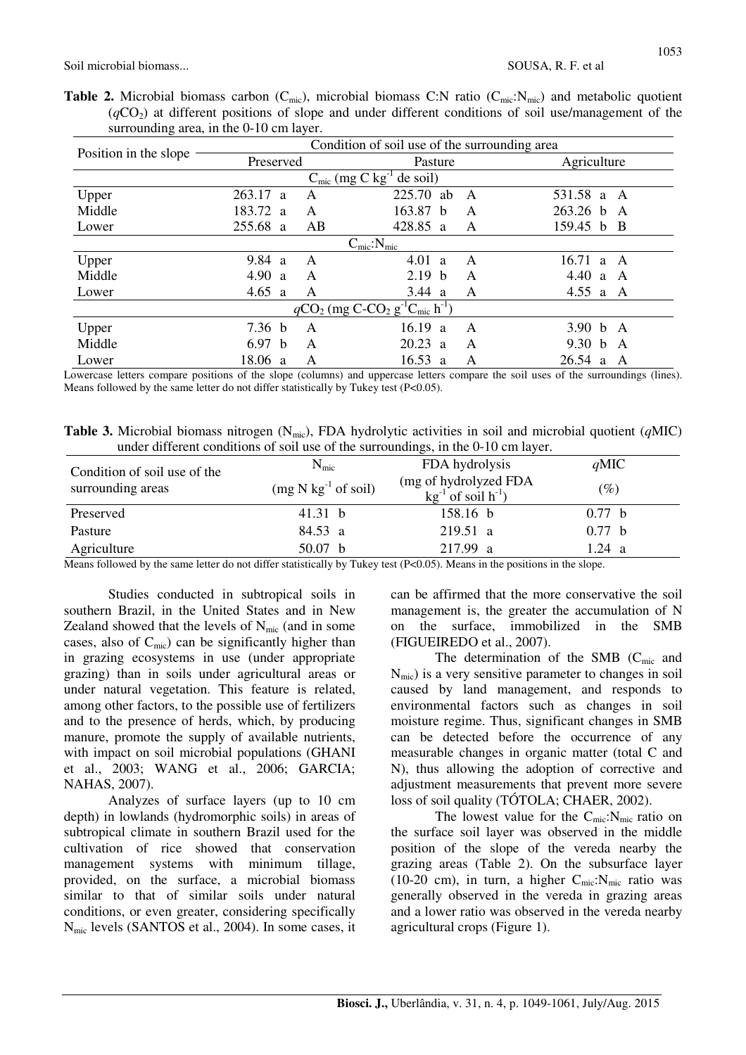**Table 2.** Microbial biomass carbon  $(C_{\text{mic}})$ , microbial biomass C:N ratio  $(C_{\text{mic}}:N_{\text{mic}})$  and metabolic quotient (*q*CO2) at different positions of slope and under different conditions of soil use/management of the surrounding area, in the 0-10 cm layer.

|                                                                                  | Condition of soil use of the surrounding area |    |                                                  |   |                            |  |  |
|----------------------------------------------------------------------------------|-----------------------------------------------|----|--------------------------------------------------|---|----------------------------|--|--|
| Position in the slope                                                            | Preserved                                     |    | Pasture                                          |   | Agriculture                |  |  |
|                                                                                  |                                               |    | $C_{\text{mic}}$ (mg C kg <sup>-1</sup> de soil) |   |                            |  |  |
| Upper                                                                            | 263.17<br><sup>2</sup>                        | A  | 225.70<br>ab                                     | A | 531.58 a<br>A              |  |  |
| Middle                                                                           | 183.72<br>$\mathbf{a}$                        | A  | 163.87<br>h                                      | A | $263.26$ b<br>$\mathsf{A}$ |  |  |
| Lower                                                                            | 255.68<br>a                                   | AB | 428.85 a                                         | A | 159.45 b<br>- B            |  |  |
|                                                                                  |                                               |    | $C_{\text{mic}}$ : $N_{\text{mic}}$              |   |                            |  |  |
| Upper                                                                            | 9.84<br><sup>2</sup>                          | A  | 4.01<br>a                                        | A | 16.71<br>A<br>a            |  |  |
| Middle                                                                           | 4.90<br>a                                     | A  | 2.19<br>b                                        | A | 4.40 a<br>A                |  |  |
| Lower                                                                            | 4.65 $a$                                      | A  | 3.44 a                                           | Α | 4.55 a<br>A                |  |  |
| $qCO_2$ (mg C-CO <sub>2</sub> g <sup>-1</sup> C <sub>mic</sub> h <sup>-1</sup> ) |                                               |    |                                                  |   |                            |  |  |
| Upper                                                                            | 7.36 <sub>b</sub>                             | A  | 16.19<br>a                                       | A | 3.90 b A                   |  |  |
| Middle                                                                           | 6.97<br>h                                     | A  | 20.23<br>$\overline{a}$                          | A | 9.30 b<br>A                |  |  |
| Lower                                                                            | 18.06<br><sup>2</sup>                         | A  | 16.53<br>a                                       | A | $26.54 \text{ a}$<br>A     |  |  |

Lowercase letters compare positions of the slope (columns) and uppercase letters compare the soil uses of the surroundings (lines). Means followed by the same letter do not differ statistically by Tukey test (P<0.05).

**Table 3.** Microbial biomass nitrogen (Nmic), FDA hydrolytic activities in soil and microbial quotient (*q*MIC) under different conditions of soil use of the surroundings, in the 0-10 cm layer.

| Condition of soil use of the<br>surrounding areas | $N_{\rm mic}$         | FDA hydrolysis                                        | $q$ MIC |
|---------------------------------------------------|-----------------------|-------------------------------------------------------|---------|
|                                                   | $(mg N kg-1 of soil)$ | (mg of hydrolyzed FDA<br>$kg^{-1}$ of soil $h^{-1}$ ) | $(\%)$  |
| Preserved                                         | 41.31 $\bar{b}$       | 158.16 b                                              | 0.77 b  |
| Pasture                                           | 84.53 a               | 219.51 a                                              | 0.77 b  |
| Agriculture                                       | 50.07 <sub>b</sub>    | 217.99 a                                              | 1.24 a  |
|                                                   | .                     | .                                                     |         |

Means followed by the same letter do not differ statistically by Tukey test (P<0.05). Means in the positions in the slope.

Studies conducted in subtropical soils in southern Brazil, in the United States and in New Zealand showed that the levels of  $N_{\text{mic}}$  (and in some cases, also of  $C_{\text{mic}}$ ) can be significantly higher than in grazing ecosystems in use (under appropriate grazing) than in soils under agricultural areas or under natural vegetation. This feature is related, among other factors, to the possible use of fertilizers and to the presence of herds, which, by producing manure, promote the supply of available nutrients, with impact on soil microbial populations (GHANI et al., 2003; WANG et al., 2006; GARCIA; NAHAS, 2007).

Analyzes of surface layers (up to 10 cm depth) in lowlands (hydromorphic soils) in areas of subtropical climate in southern Brazil used for the cultivation of rice showed that conservation management systems with minimum tillage, provided, on the surface, a microbial biomass similar to that of similar soils under natural conditions, or even greater, considering specifically Nmic levels (SANTOS et al., 2004). In some cases, it can be affirmed that the more conservative the soil management is, the greater the accumulation of N on the surface, immobilized in the SMB (FIGUEIREDO et al., 2007).

The determination of the SMB  $(C_{\text{mic}}$  and  $N_{\text{mic}}$ ) is a very sensitive parameter to changes in soil caused by land management, and responds to environmental factors such as changes in soil moisture regime. Thus, significant changes in SMB can be detected before the occurrence of any measurable changes in organic matter (total C and N), thus allowing the adoption of corrective and adjustment measurements that prevent more severe loss of soil quality (TÓTOLA; CHAER, 2002).

The lowest value for the  $C_{\text{mic}}$ : $N_{\text{mic}}$  ratio on the surface soil layer was observed in the middle position of the slope of the vereda nearby the grazing areas (Table 2). On the subsurface layer (10-20 cm), in turn, a higher  $C_{\text{mic}}$ :N<sub>mic</sub> ratio was generally observed in the vereda in grazing areas and a lower ratio was observed in the vereda nearby agricultural crops (Figure 1).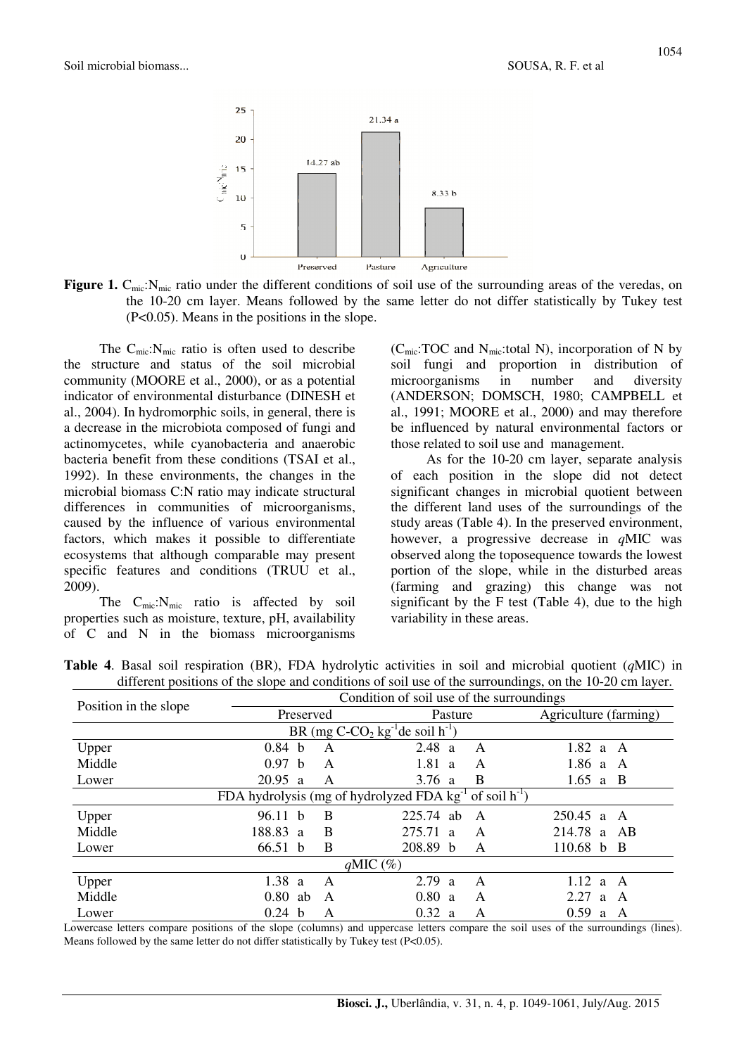

**Figure 1.** C<sub>mic</sub>:N<sub>mic</sub> ratio under the different conditions of soil use of the surrounding areas of the veredas, on the 10-20 cm layer. Means followed by the same letter do not differ statistically by Tukey test (P<0.05). Means in the positions in the slope.

The  $C_{\text{mic}}$ :  $N_{\text{mic}}$  ratio is often used to describe the structure and status of the soil microbial community (MOORE et al., 2000), or as a potential indicator of environmental disturbance (DINESH et al., 2004). In hydromorphic soils, in general, there is a decrease in the microbiota composed of fungi and actinomycetes, while cyanobacteria and anaerobic bacteria benefit from these conditions (TSAI et al., 1992). In these environments, the changes in the microbial biomass C:N ratio may indicate structural differences in communities of microorganisms, caused by the influence of various environmental factors, which makes it possible to differentiate ecosystems that although comparable may present specific features and conditions (TRUU et al., 2009).

The  $C_{\text{mic}}$ :  $N_{\text{mic}}$  ratio is affected by soil properties such as moisture, texture, pH, availability of C and N in the biomass microorganisms ( $C_{\text{mic}}$ :TOC and  $N_{\text{mic}}$ :total N), incorporation of N by soil fungi and proportion in distribution of microorganisms in number and diversity (ANDERSON; DOMSCH, 1980; CAMPBELL et al., 1991; MOORE et al., 2000) and may therefore be influenced by natural environmental factors or those related to soil use and management.

As for the 10-20 cm layer, separate analysis of each position in the slope did not detect significant changes in microbial quotient between the different land uses of the surroundings of the study areas (Table 4). In the preserved environment, however, a progressive decrease in *q*MIC was observed along the toposequence towards the lowest portion of the slope, while in the disturbed areas (farming and grazing) this change was not significant by the F test (Table 4), due to the high variability in these areas.

|  |  |  | <b>Table 4.</b> Basal soil respiration (BR), FDA hydrolytic activities in soil and microbial quotient ( $qMIC$ ) in |  |  |  |  |
|--|--|--|---------------------------------------------------------------------------------------------------------------------|--|--|--|--|
|  |  |  | different positions of the slope and conditions of soil use of the surroundings, on the 10-20 cm layer.             |  |  |  |  |

|                         | Condition of soil use of the surroundings |   |                                                                   |                       |  |  |  |
|-------------------------|-------------------------------------------|---|-------------------------------------------------------------------|-----------------------|--|--|--|
| Position in the slope   | Preserved                                 |   | Pasture                                                           | Agriculture (farming) |  |  |  |
|                         |                                           |   | BR (mg $C$ - $CO2$ kg <sup>-1</sup> de soil h <sup>-1</sup> )     |                       |  |  |  |
| Upper                   | 0.84 <sub>b</sub>                         | A | 2.48 a<br>A                                                       | $1.82$ a A            |  |  |  |
| Middle                  | 0.97 <sub>b</sub>                         | A | 1.81 a<br>A                                                       | 1.86 a<br>A           |  |  |  |
| Lower                   | 20.95<br><sub>a</sub>                     | A | B<br>3.76 $a$                                                     | $1.65$ a B            |  |  |  |
|                         |                                           |   | FDA hydrolysis (mg of hydrolyzed FDA $kg^{-1}$ of soil $h^{-1}$ ) |                       |  |  |  |
| Upper                   | 96.11 b                                   | B | 225.74<br>ab<br>A                                                 | $250.45$ a<br>A       |  |  |  |
| Middle                  | 188.83<br>$\overline{a}$                  | B | 275.71<br>A<br>a                                                  | 214.78 a<br>AB        |  |  |  |
| Lower                   | 66.51 b                                   | B | 208.89 b<br>A                                                     | 110.68 b B            |  |  |  |
| $qMIC \left( % \right)$ |                                           |   |                                                                   |                       |  |  |  |
| Upper                   | 1.38<br><sub>a</sub>                      | A | 2.79<br>A<br><sup>2</sup>                                         | 1.12<br>A<br>a        |  |  |  |
| Middle                  | 0.80<br>ab                                | A | 0.80<br>A<br><sup>a</sup>                                         | 2.27<br>A<br>a        |  |  |  |
| Lower                   | 0.24<br>$\mathbf{b}$                      | A | 0.32<br>А<br><sup>2</sup>                                         | 0.59<br>A<br>a        |  |  |  |

Lowercase letters compare positions of the slope (columns) and uppercase letters compare the soil uses of the surroundings (lines). Means followed by the same letter do not differ statistically by Tukey test (P<0.05).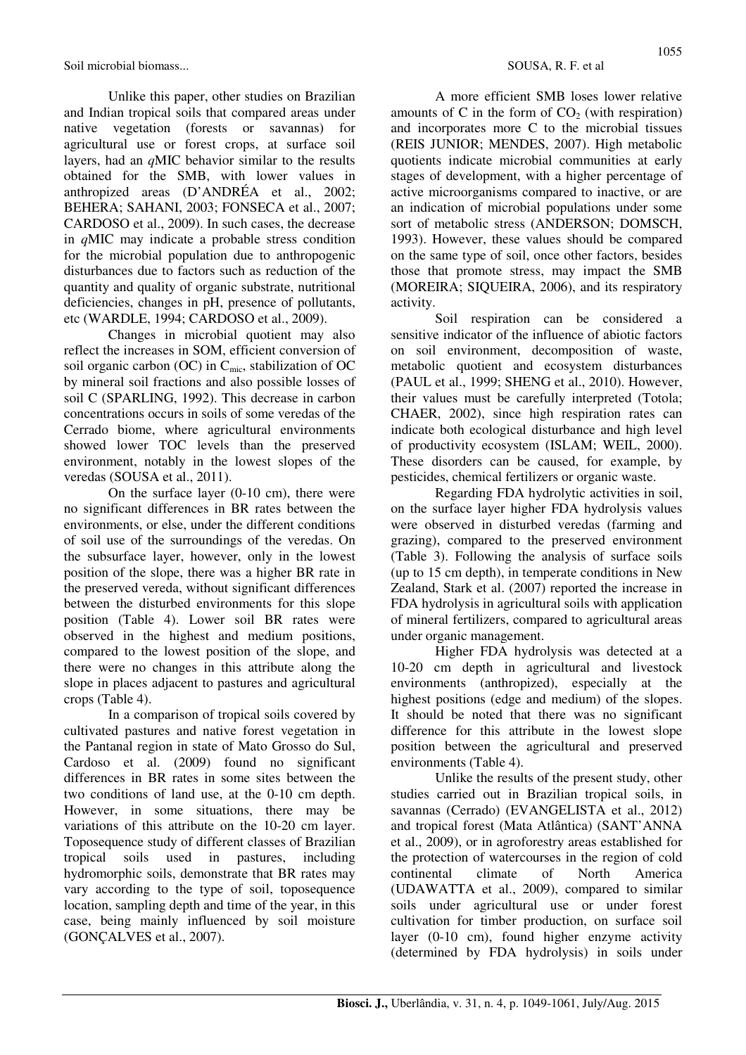Soil microbial biomass... SOUSA, R. F. et al.

Unlike this paper, other studies on Brazilian and Indian tropical soils that compared areas under native vegetation (forests or savannas) for agricultural use or forest crops, at surface soil layers, had an *q*MIC behavior similar to the results obtained for the SMB, with lower values in anthropized areas (D'ANDRÉA et al., 2002; BEHERA; SAHANI, 2003; FONSECA et al., 2007; CARDOSO et al., 2009). In such cases, the decrease in *q*MIC may indicate a probable stress condition for the microbial population due to anthropogenic disturbances due to factors such as reduction of the quantity and quality of organic substrate, nutritional deficiencies, changes in pH, presence of pollutants, etc (WARDLE, 1994; CARDOSO et al., 2009).

Changes in microbial quotient may also reflect the increases in SOM, efficient conversion of soil organic carbon (OC) in C<sub>mic</sub>, stabilization of OC by mineral soil fractions and also possible losses of soil C (SPARLING, 1992). This decrease in carbon concentrations occurs in soils of some veredas of the Cerrado biome, where agricultural environments showed lower TOC levels than the preserved environment, notably in the lowest slopes of the veredas (SOUSA et al., 2011).

On the surface layer (0-10 cm), there were no significant differences in BR rates between the environments, or else, under the different conditions of soil use of the surroundings of the veredas. On the subsurface layer, however, only in the lowest position of the slope, there was a higher BR rate in the preserved vereda, without significant differences between the disturbed environments for this slope position (Table 4). Lower soil BR rates were observed in the highest and medium positions, compared to the lowest position of the slope, and there were no changes in this attribute along the slope in places adjacent to pastures and agricultural crops (Table 4).

In a comparison of tropical soils covered by cultivated pastures and native forest vegetation in the Pantanal region in state of Mato Grosso do Sul, Cardoso et al. (2009) found no significant differences in BR rates in some sites between the two conditions of land use, at the 0-10 cm depth. However, in some situations, there may be variations of this attribute on the 10-20 cm layer. Toposequence study of different classes of Brazilian tropical soils used in pastures, including hydromorphic soils, demonstrate that BR rates may vary according to the type of soil, toposequence location, sampling depth and time of the year, in this case, being mainly influenced by soil moisture (GONÇALVES et al., 2007).

A more efficient SMB loses lower relative amounts of C in the form of  $CO<sub>2</sub>$  (with respiration) and incorporates more C to the microbial tissues (REIS JUNIOR; MENDES, 2007). High metabolic quotients indicate microbial communities at early stages of development, with a higher percentage of active microorganisms compared to inactive, or are an indication of microbial populations under some sort of metabolic stress (ANDERSON; DOMSCH, 1993). However, these values should be compared on the same type of soil, once other factors, besides those that promote stress, may impact the SMB (MOREIRA; SIQUEIRA, 2006), and its respiratory activity.

Soil respiration can be considered a sensitive indicator of the influence of abiotic factors on soil environment, decomposition of waste, metabolic quotient and ecosystem disturbances (PAUL et al., 1999; SHENG et al., 2010). However, their values must be carefully interpreted (Totola; CHAER, 2002), since high respiration rates can indicate both ecological disturbance and high level of productivity ecosystem (ISLAM; WEIL, 2000). These disorders can be caused, for example, by pesticides, chemical fertilizers or organic waste.

Regarding FDA hydrolytic activities in soil, on the surface layer higher FDA hydrolysis values were observed in disturbed veredas (farming and grazing), compared to the preserved environment (Table 3). Following the analysis of surface soils (up to 15 cm depth), in temperate conditions in New Zealand, Stark et al. (2007) reported the increase in FDA hydrolysis in agricultural soils with application of mineral fertilizers, compared to agricultural areas under organic management.

Higher FDA hydrolysis was detected at a 10-20 cm depth in agricultural and livestock environments (anthropized), especially at the highest positions (edge and medium) of the slopes. It should be noted that there was no significant difference for this attribute in the lowest slope position between the agricultural and preserved environments (Table 4).

Unlike the results of the present study, other studies carried out in Brazilian tropical soils, in savannas (Cerrado) (EVANGELISTA et al., 2012) and tropical forest (Mata Atlântica) (SANT'ANNA et al., 2009), or in agroforestry areas established for the protection of watercourses in the region of cold continental climate of North America (UDAWATTA et al., 2009), compared to similar soils under agricultural use or under forest cultivation for timber production, on surface soil layer (0-10 cm), found higher enzyme activity (determined by FDA hydrolysis) in soils under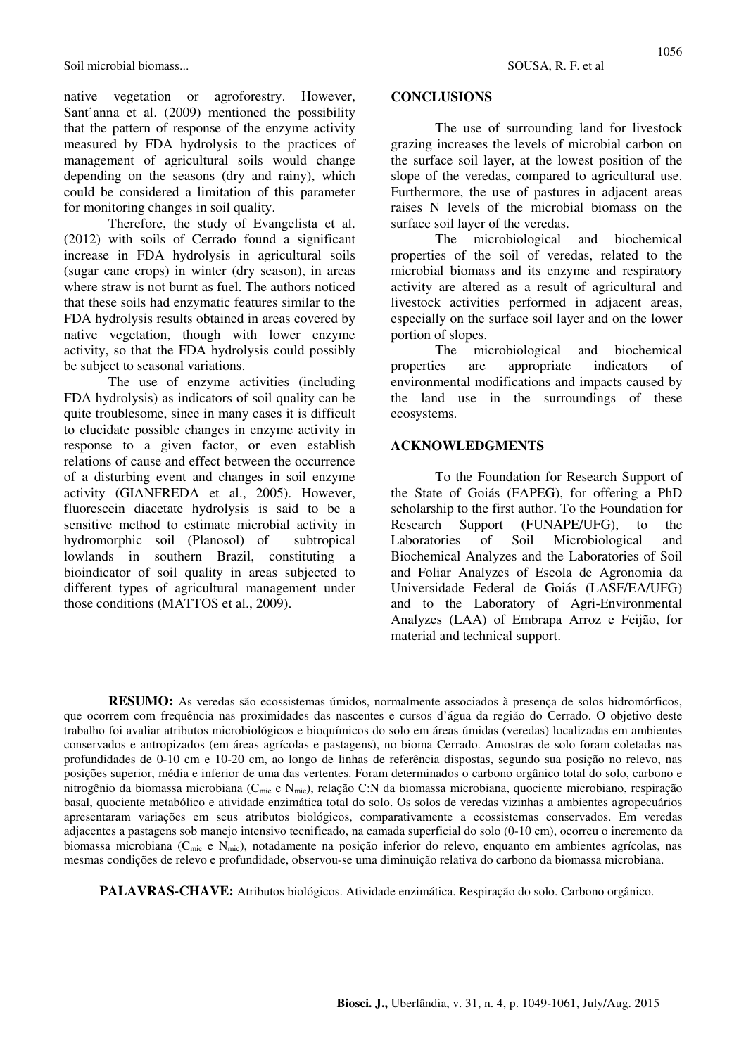Soil microbial biomass... SOUSA, R. F. et al.

native vegetation or agroforestry. However, Sant'anna et al. (2009) mentioned the possibility that the pattern of response of the enzyme activity measured by FDA hydrolysis to the practices of management of agricultural soils would change depending on the seasons (dry and rainy), which could be considered a limitation of this parameter for monitoring changes in soil quality.

Therefore, the study of Evangelista et al. (2012) with soils of Cerrado found a significant increase in FDA hydrolysis in agricultural soils (sugar cane crops) in winter (dry season), in areas where straw is not burnt as fuel. The authors noticed that these soils had enzymatic features similar to the FDA hydrolysis results obtained in areas covered by native vegetation, though with lower enzyme activity, so that the FDA hydrolysis could possibly be subject to seasonal variations.

The use of enzyme activities (including FDA hydrolysis) as indicators of soil quality can be quite troublesome, since in many cases it is difficult to elucidate possible changes in enzyme activity in response to a given factor, or even establish relations of cause and effect between the occurrence of a disturbing event and changes in soil enzyme activity (GIANFREDA et al., 2005). However, fluorescein diacetate hydrolysis is said to be a sensitive method to estimate microbial activity in hydromorphic soil (Planosol) of subtropical lowlands in southern Brazil, constituting a bioindicator of soil quality in areas subjected to different types of agricultural management under those conditions (MATTOS et al., 2009).

#### **CONCLUSIONS**

The use of surrounding land for livestock grazing increases the levels of microbial carbon on the surface soil layer, at the lowest position of the slope of the veredas, compared to agricultural use. Furthermore, the use of pastures in adjacent areas raises N levels of the microbial biomass on the surface soil layer of the veredas.

The microbiological and biochemical properties of the soil of veredas, related to the microbial biomass and its enzyme and respiratory activity are altered as a result of agricultural and livestock activities performed in adjacent areas, especially on the surface soil layer and on the lower portion of slopes.

The microbiological and biochemical properties are appropriate indicators of environmental modifications and impacts caused by the land use in the surroundings of these ecosystems.

### **ACKNOWLEDGMENTS**

To the Foundation for Research Support of the State of Goiás (FAPEG), for offering a PhD scholarship to the first author. To the Foundation for Research Support (FUNAPE/UFG), to the Laboratories of Soil Microbiological and Biochemical Analyzes and the Laboratories of Soil and Foliar Analyzes of Escola de Agronomia da Universidade Federal de Goiás (LASF/EA/UFG) and to the Laboratory of Agri-Environmental Analyzes (LAA) of Embrapa Arroz e Feijão, for material and technical support.

**RESUMO:** As veredas são ecossistemas úmidos, normalmente associados à presença de solos hidromórficos, que ocorrem com frequência nas proximidades das nascentes e cursos d'água da região do Cerrado. O objetivo deste trabalho foi avaliar atributos microbiológicos e bioquímicos do solo em áreas úmidas (veredas) localizadas em ambientes conservados e antropizados (em áreas agrícolas e pastagens), no bioma Cerrado. Amostras de solo foram coletadas nas profundidades de 0-10 cm e 10-20 cm, ao longo de linhas de referência dispostas, segundo sua posição no relevo, nas posições superior, média e inferior de uma das vertentes. Foram determinados o carbono orgânico total do solo, carbono e nitrogênio da biomassa microbiana (Cmic e Nmic), relação C:N da biomassa microbiana, quociente microbiano, respiração basal, quociente metabólico e atividade enzimática total do solo. Os solos de veredas vizinhas a ambientes agropecuários apresentaram variações em seus atributos biológicos, comparativamente a ecossistemas conservados. Em veredas adjacentes a pastagens sob manejo intensivo tecnificado, na camada superficial do solo (0-10 cm), ocorreu o incremento da biomassa microbiana (Cmic e Nmic), notadamente na posição inferior do relevo, enquanto em ambientes agrícolas, nas mesmas condições de relevo e profundidade, observou-se uma diminuição relativa do carbono da biomassa microbiana.

**PALAVRAS-CHAVE:** Atributos biológicos. Atividade enzimática. Respiração do solo. Carbono orgânico.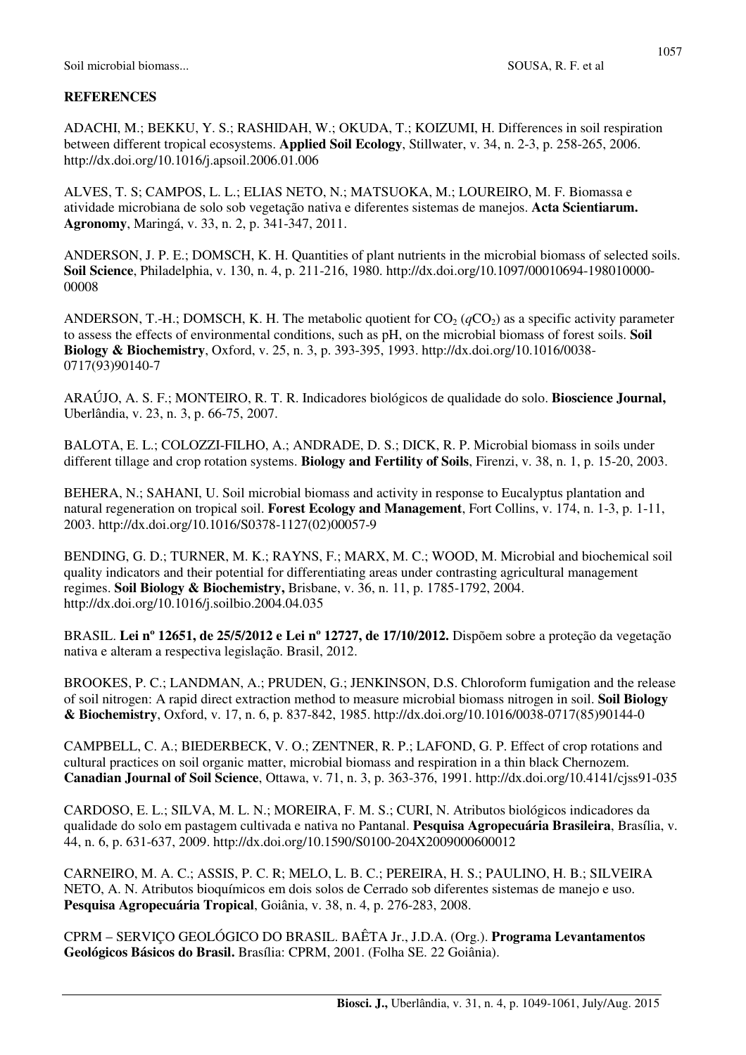### **REFERENCES**

ADACHI, M.; BEKKU, Y. S.; RASHIDAH, W.; OKUDA, T.; KOIZUMI, H. Differences in soil respiration between different tropical ecosystems. **Applied Soil Ecology**, Stillwater, v. 34, n. 2-3, p. 258-265, 2006. http://dx.doi.org/10.1016/j.apsoil.2006.01.006

ALVES, T. S; CAMPOS, L. L.; ELIAS NETO, N.; MATSUOKA, M.; LOUREIRO, M. F. Biomassa e atividade microbiana de solo sob vegetação nativa e diferentes sistemas de manejos. **Acta Scientiarum. Agronomy**, Maringá, v. 33, n. 2, p. 341-347, 2011.

ANDERSON, J. P. E.; DOMSCH, K. H. Quantities of plant nutrients in the microbial biomass of selected soils. **Soil Science**, Philadelphia, v. 130, n. 4, p. 211-216, 1980. http://dx.doi.org/10.1097/00010694-198010000- 00008

ANDERSON, T.-H.; DOMSCH, K. H. The metabolic quotient for  $CO_2$  ( $qCO_2$ ) as a specific activity parameter to assess the effects of environmental conditions, such as pH, on the microbial biomass of forest soils. **Soil Biology & Biochemistry**, Oxford, v. 25, n. 3, p. 393-395, 1993. http://dx.doi.org/10.1016/0038- 0717(93)90140-7

ARAÚJO, A. S. F.; MONTEIRO, R. T. R. Indicadores biológicos de qualidade do solo. **Bioscience Journal,**  Uberlândia, v. 23, n. 3, p. 66-75, 2007.

BALOTA, E. L.; COLOZZI-FILHO, A.; ANDRADE, D. S.; DICK, R. P. Microbial biomass in soils under different tillage and crop rotation systems. **Biology and Fertility of Soils**, Firenzi, v. 38, n. 1, p. 15-20, 2003.

BEHERA, N.; SAHANI, U. Soil microbial biomass and activity in response to Eucalyptus plantation and natural regeneration on tropical soil. **Forest Ecology and Management**, Fort Collins, v. 174, n. 1-3, p. 1-11, 2003. http://dx.doi.org/10.1016/S0378-1127(02)00057-9

BENDING, G. D.; TURNER, M. K.; RAYNS, F.; MARX, M. C.; WOOD, M. Microbial and biochemical soil quality indicators and their potential for differentiating areas under contrasting agricultural management regimes. **Soil Biology & Biochemistry,** Brisbane, v. 36, n. 11, p. 1785-1792, 2004. http://dx.doi.org/10.1016/j.soilbio.2004.04.035

BRASIL. **Lei nº 12651, de 25/5/2012 e Lei nº 12727, de 17/10/2012.** Dispõem sobre a proteção da vegetação nativa e alteram a respectiva legislação. Brasil, 2012.

BROOKES, P. C.; LANDMAN, A.; PRUDEN, G.; JENKINSON, D.S. Chloroform fumigation and the release of soil nitrogen: A rapid direct extraction method to measure microbial biomass nitrogen in soil. **Soil Biology & Biochemistry**, Oxford, v. 17, n. 6, p. 837-842, 1985. http://dx.doi.org/10.1016/0038-0717(85)90144-0

CAMPBELL, C. A.; BIEDERBECK, V. O.; ZENTNER, R. P.; LAFOND, G. P. Effect of crop rotations and cultural practices on soil organic matter, microbial biomass and respiration in a thin black Chernozem. **Canadian Journal of Soil Science**, Ottawa, v. 71, n. 3, p. 363-376, 1991. http://dx.doi.org/10.4141/cjss91-035

CARDOSO, E. L.; SILVA, M. L. N.; MOREIRA, F. M. S.; CURI, N. Atributos biológicos indicadores da qualidade do solo em pastagem cultivada e nativa no Pantanal. **Pesquisa Agropecuária Brasileira**, Brasília, v. 44, n. 6, p. 631-637, 2009. http://dx.doi.org/10.1590/S0100-204X2009000600012

CARNEIRO, M. A. C.; ASSIS, P. C. R; MELO, L. B. C.; PEREIRA, H. S.; PAULINO, H. B.; SILVEIRA NETO, A. N. Atributos bioquímicos em dois solos de Cerrado sob diferentes sistemas de manejo e uso. **Pesquisa Agropecuária Tropical**, Goiânia, v. 38, n. 4, p. 276-283, 2008.

CPRM – SERVIÇO GEOLÓGICO DO BRASIL. BAÊTA Jr., J.D.A. (Org.). **Programa Levantamentos Geológicos Básicos do Brasil.** Brasília: CPRM, 2001. (Folha SE. 22 Goiânia).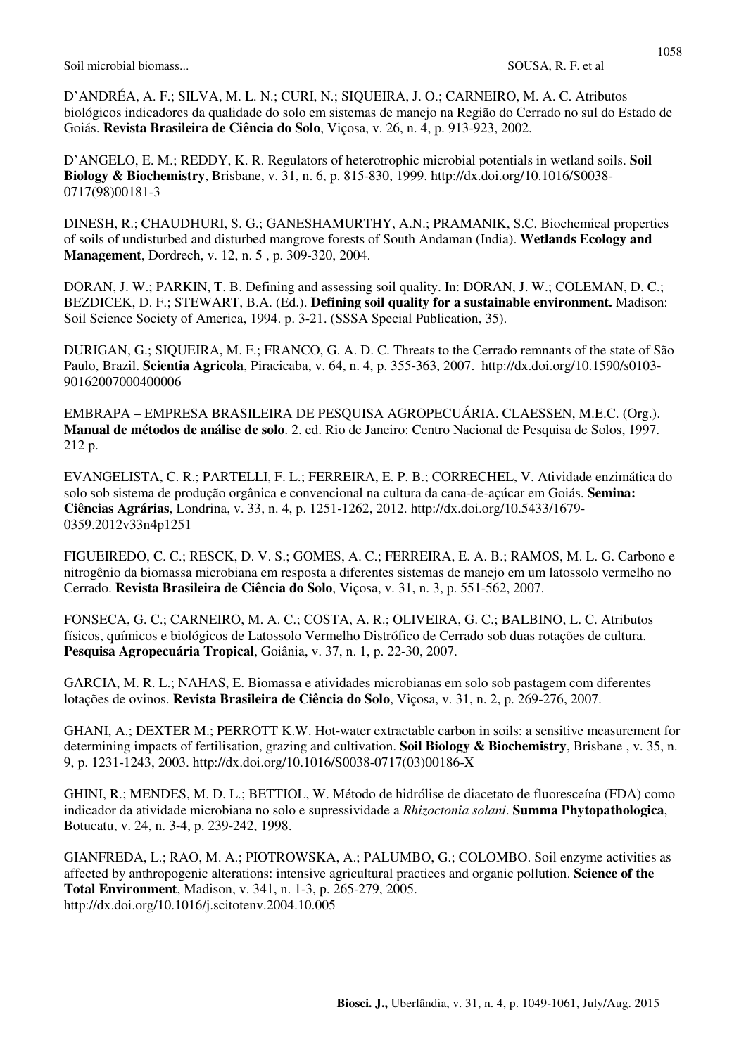D'ANDRÉA, A. F.; SILVA, M. L. N.; CURI, N.; SIQUEIRA, J. O.; CARNEIRO, M. A. C. Atributos biológicos indicadores da qualidade do solo em sistemas de manejo na Região do Cerrado no sul do Estado de Goiás. **Revista Brasileira de Ciência do Solo**, Viçosa, v. 26, n. 4, p. 913-923, 2002.

D'ANGELO, E. M.; REDDY, K. R. Regulators of heterotrophic microbial potentials in wetland soils. **Soil Biology & Biochemistry**, Brisbane, v. 31, n. 6, p. 815-830, 1999. http://dx.doi.org/10.1016/S0038- 0717(98)00181-3

DINESH, R.; CHAUDHURI, S. G.; GANESHAMURTHY, A.N.; PRAMANIK, S.C. Biochemical properties of soils of undisturbed and disturbed mangrove forests of South Andaman (India). **Wetlands Ecology and Management**, Dordrech, v. 12, n. 5 , p. 309-320, 2004.

DORAN, J. W.; PARKIN, T. B. Defining and assessing soil quality. In: DORAN, J. W.; COLEMAN, D. C.; BEZDICEK, D. F.; STEWART, B.A. (Ed.). **Defining soil quality for a sustainable environment.** Madison: Soil Science Society of America, 1994. p. 3-21. (SSSA Special Publication, 35).

DURIGAN, G.; SIQUEIRA, M. F.; FRANCO, G. A. D. C. Threats to the Cerrado remnants of the state of São Paulo, Brazil. **Scientia Agricola**, Piracicaba, v. 64, n. 4, p. 355-363, 2007. http://dx.doi.org/10.1590/s0103- 90162007000400006

EMBRAPA – EMPRESA BRASILEIRA DE PESQUISA AGROPECUÁRIA. CLAESSEN, M.E.C. (Org.). **Manual de métodos de análise de solo**. 2. ed. Rio de Janeiro: Centro Nacional de Pesquisa de Solos, 1997. 212 p.

EVANGELISTA, C. R.; PARTELLI, F. L.; FERREIRA, E. P. B.; CORRECHEL, V. Atividade enzimática do solo sob sistema de produção orgânica e convencional na cultura da cana-de-açúcar em Goiás. **Semina: Ciências Agrárias**, Londrina, v. 33, n. 4, p. 1251-1262, 2012. http://dx.doi.org/10.5433/1679- 0359.2012v33n4p1251

FIGUEIREDO, C. C.; RESCK, D. V. S.; GOMES, A. C.; FERREIRA, E. A. B.; RAMOS, M. L. G. Carbono e nitrogênio da biomassa microbiana em resposta a diferentes sistemas de manejo em um latossolo vermelho no Cerrado. **Revista Brasileira de Ciência do Solo**, Viçosa, v. 31, n. 3, p. 551-562, 2007.

FONSECA, G. C.; CARNEIRO, M. A. C.; COSTA, A. R.; OLIVEIRA, G. C.; BALBINO, L. C. Atributos físicos, químicos e biológicos de Latossolo Vermelho Distrófico de Cerrado sob duas rotações de cultura. **Pesquisa Agropecuária Tropical**, Goiânia, v. 37, n. 1, p. 22-30, 2007.

GARCIA, M. R. L.; NAHAS, E. Biomassa e atividades microbianas em solo sob pastagem com diferentes lotações de ovinos. **Revista Brasileira de Ciência do Solo**, Viçosa, v. 31, n. 2, p. 269-276, 2007.

GHANI, A.; DEXTER M.; PERROTT K.W. Hot-water extractable carbon in soils: a sensitive measurement for determining impacts of fertilisation, grazing and cultivation. **Soil Biology & Biochemistry**, Brisbane , v. 35, n. 9, p. 1231-1243, 2003. http://dx.doi.org/10.1016/S0038-0717(03)00186-X

GHINI, R.; MENDES, M. D. L.; BETTIOL, W. Método de hidrólise de diacetato de fluoresceína (FDA) como indicador da atividade microbiana no solo e supressividade a *Rhizoctonia solani*. **Summa Phytopathologica**, Botucatu, v. 24, n. 3-4, p. 239-242, 1998.

GIANFREDA, L.; RAO, M. A.; PIOTROWSKA, A.; PALUMBO, G.; COLOMBO. Soil enzyme activities as affected by anthropogenic alterations: intensive agricultural practices and organic pollution. **Science of the Total Environment**, Madison, v. 341, n. 1-3, p. 265-279, 2005. http://dx.doi.org/10.1016/j.scitotenv.2004.10.005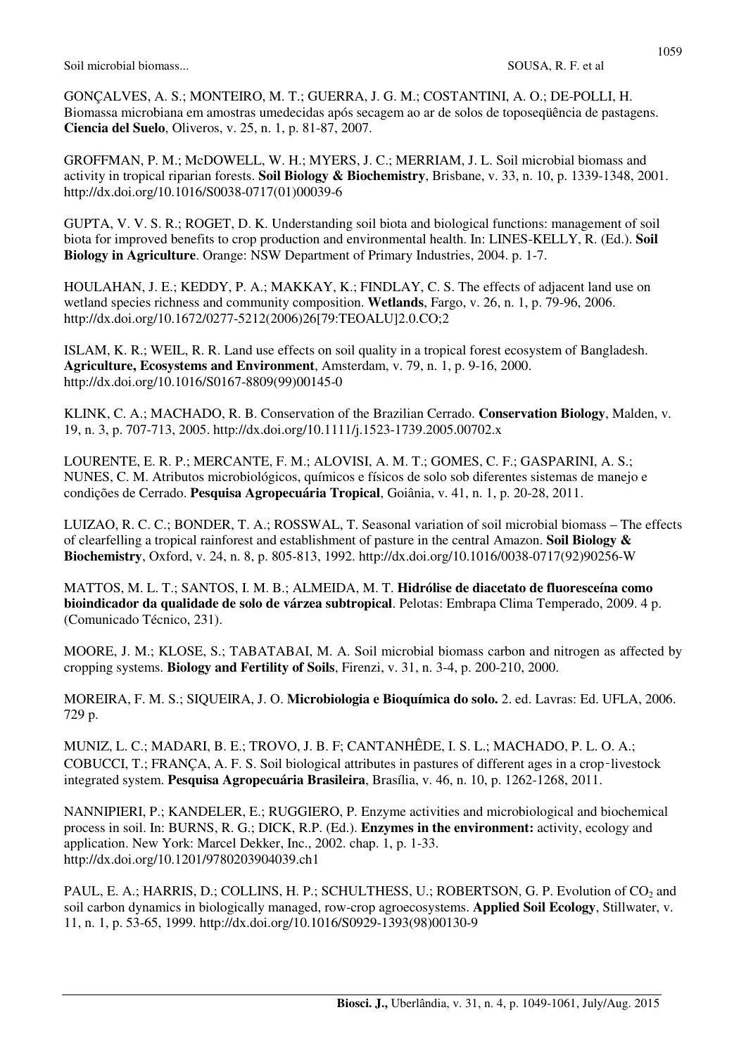GONÇALVES, A. S.; MONTEIRO, M. T.; GUERRA, J. G. M.; COSTANTINI, A. O.; DE-POLLI, H. Biomassa microbiana em amostras umedecidas após secagem ao ar de solos de toposeqüência de pastagens. **Ciencia del Suelo**, Oliveros, v. 25, n. 1, p. 81-87, 2007.

GROFFMAN, P. M.; McDOWELL, W. H.; MYERS, J. C.; MERRIAM, J. L. Soil microbial biomass and activity in tropical riparian forests. **Soil Biology & Biochemistry**, Brisbane, v. 33, n. 10, p. 1339-1348, 2001. http://dx.doi.org/10.1016/S0038-0717(01)00039-6

GUPTA, V. V. S. R.; ROGET, D. K. Understanding soil biota and biological functions: management of soil biota for improved benefits to crop production and environmental health. In: LINES-KELLY, R. (Ed.). **Soil Biology in Agriculture**. Orange: NSW Department of Primary Industries, 2004. p. 1-7.

HOULAHAN, J. E.; KEDDY, P. A.; MAKKAY, K.; FINDLAY, C. S. The effects of adjacent land use on wetland species richness and community composition. **Wetlands**, Fargo, v. 26, n. 1, p. 79-96, 2006. http://dx.doi.org/10.1672/0277-5212(2006)26[79:TEOALU]2.0.CO;2

ISLAM, K. R.; WEIL, R. R. Land use effects on soil quality in a tropical forest ecosystem of Bangladesh. **Agriculture, Ecosystems and Environment**, Amsterdam, v. 79, n. 1, p. 9-16, 2000. http://dx.doi.org/10.1016/S0167-8809(99)00145-0

KLINK, C. A.; MACHADO, R. B. Conservation of the Brazilian Cerrado. **Conservation Biology**, Malden, v. 19, n. 3, p. 707-713, 2005. http://dx.doi.org/10.1111/j.1523-1739.2005.00702.x

LOURENTE, E. R. P.; MERCANTE, F. M.; ALOVISI, A. M. T.; GOMES, C. F.; GASPARINI, A. S.; NUNES, C. M. Atributos microbiológicos, químicos e físicos de solo sob diferentes sistemas de manejo e condições de Cerrado. **Pesquisa Agropecuária Tropical**, Goiânia, v. 41, n. 1, p. 20-28, 2011.

LUIZAO, R. C. C.; BONDER, T. A.; ROSSWAL, T. Seasonal variation of soil microbial biomass – The effects of clearfelling a tropical rainforest and establishment of pasture in the central Amazon. **Soil Biology & Biochemistry**, Oxford, v. 24, n. 8, p. 805-813, 1992. http://dx.doi.org/10.1016/0038-0717(92)90256-W

MATTOS, M. L. T.; SANTOS, I. M. B.; ALMEIDA, M. T. **Hidrólise de diacetato de fluoresceína como bioindicador da qualidade de solo de várzea subtropical**. Pelotas: Embrapa Clima Temperado, 2009. 4 p. (Comunicado Técnico, 231).

MOORE, J. M.; KLOSE, S.; TABATABAI, M. A. Soil microbial biomass carbon and nitrogen as affected by cropping systems. **Biology and Fertility of Soils**, Firenzi, v. 31, n. 3-4, p. 200-210, 2000.

MOREIRA, F. M. S.; SIQUEIRA, J. O. **Microbiologia e Bioquímica do solo.** 2. ed. Lavras: Ed. UFLA, 2006. 729 p.

MUNIZ, L. C.; MADARI, B. E.; TROVO, J. B. F; CANTANHÊDE, I. S. L.; MACHADO, P. L. O. A.; COBUCCI, T.; FRANÇA, A. F. S. Soil biological attributes in pastures of different ages in a crop‑livestock integrated system. **Pesquisa Agropecuária Brasileira**, Brasília, v. 46, n. 10, p. 1262-1268, 2011.

NANNIPIERI, P.; KANDELER, E.; RUGGIERO, P. Enzyme activities and microbiological and biochemical process in soil. In: BURNS, R. G.; DICK, R.P. (Ed.). **Enzymes in the environment:** activity, ecology and application. New York: Marcel Dekker, Inc., 2002. chap. 1, p. 1-33. http://dx.doi.org/10.1201/9780203904039.ch1

PAUL, E. A.; HARRIS, D.; COLLINS, H. P.; SCHULTHESS, U.; ROBERTSON, G. P. Evolution of CO<sub>2</sub> and soil carbon dynamics in biologically managed, row-crop agroecosystems. **Applied Soil Ecology**, Stillwater, v. 11, n. 1, p. 53-65, 1999. http://dx.doi.org/10.1016/S0929-1393(98)00130-9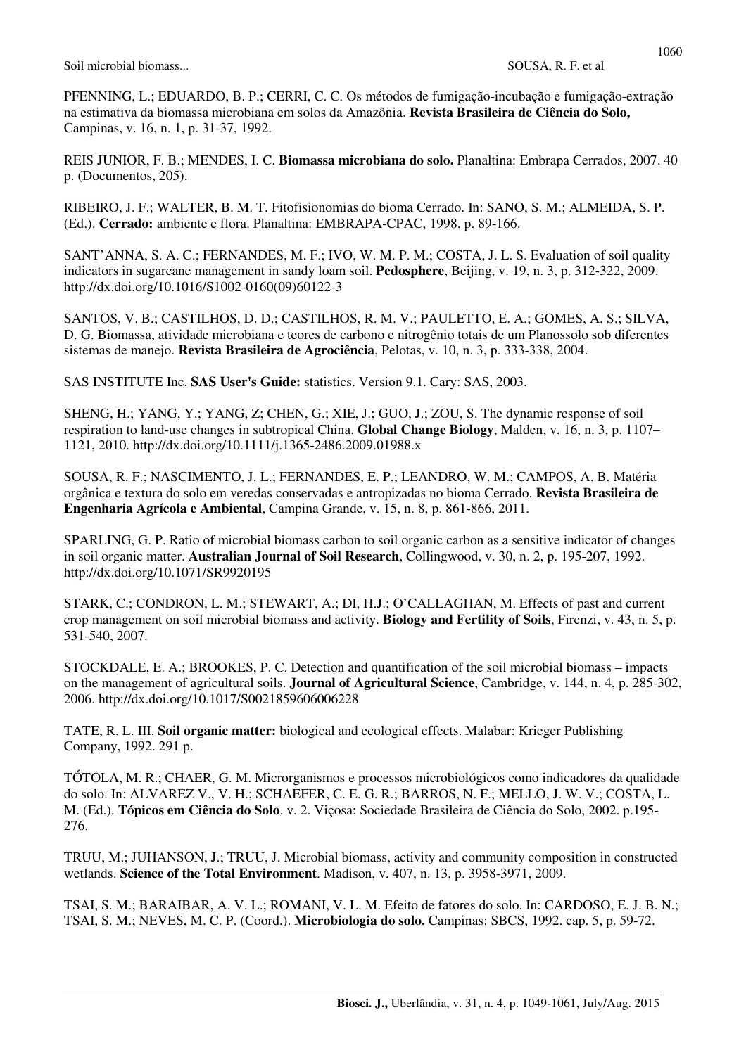PFENNING, L.; EDUARDO, B. P.; CERRI, C. C. Os métodos de fumigação-incubação e fumigação-extração na estimativa da biomassa microbiana em solos da Amazônia. **Revista Brasileira de Ciência do Solo,** Campinas, v. 16, n. 1, p. 31-37, 1992.

REIS JUNIOR, F. B.; MENDES, I. C. **Biomassa microbiana do solo.** Planaltina: Embrapa Cerrados, 2007. 40 p. (Documentos, 205).

RIBEIRO, J. F.; WALTER, B. M. T. Fitofisionomias do bioma Cerrado. In: SANO, S. M.; ALMEIDA, S. P. (Ed.). **Cerrado:** ambiente e flora. Planaltina: EMBRAPA-CPAC, 1998. p. 89-166.

SANT'ANNA, S. A. C.; FERNANDES, M. F.; IVO, W. M. P. M.; COSTA, J. L. S. Evaluation of soil quality indicators in sugarcane management in sandy loam soil. **Pedosphere**, Beijing, v. 19, n. 3, p. 312-322, 2009. http://dx.doi.org/10.1016/S1002-0160(09)60122-3

SANTOS, V. B.; CASTILHOS, D. D.; CASTILHOS, R. M. V.; PAULETTO, E. A.; GOMES, A. S.; SILVA, D. G. Biomassa, atividade microbiana e teores de carbono e nitrogênio totais de um Planossolo sob diferentes sistemas de manejo. **Revista Brasileira de Agrociência**, Pelotas, v. 10, n. 3, p. 333-338, 2004.

SAS INSTITUTE Inc. **SAS User's Guide:** statistics. Version 9.1. Cary: SAS, 2003.

SHENG, H.; YANG, Y.; YANG, Z; CHEN, G.; XIE, J.; GUO, J.; ZOU, S. The dynamic response of soil respiration to land-use changes in subtropical China. **Global Change Biology**, Malden, v. 16, n. 3, p. 1107– 1121, 2010. http://dx.doi.org/10.1111/j.1365-2486.2009.01988.x

SOUSA, R. F.; NASCIMENTO, J. L.; FERNANDES, E. P.; LEANDRO, W. M.; CAMPOS, A. B. Matéria orgânica e textura do solo em veredas conservadas e antropizadas no bioma Cerrado. **Revista Brasileira de Engenharia Agrícola e Ambiental**, Campina Grande, v. 15, n. 8, p. 861-866, 2011.

SPARLING, G. P. Ratio of microbial biomass carbon to soil organic carbon as a sensitive indicator of changes in soil organic matter. **Australian Journal of Soil Research**, Collingwood, v. 30, n. 2, p. 195-207, 1992. http://dx.doi.org/10.1071/SR9920195

STARK, C.; CONDRON, L. M.; STEWART, A.; DI, H.J.; O'CALLAGHAN, M. Effects of past and current crop management on soil microbial biomass and activity. **Biology and Fertility of Soils**, Firenzi, v. 43, n. 5, p. 531-540, 2007.

STOCKDALE, E. A.; BROOKES, P. C. Detection and quantification of the soil microbial biomass – impacts on the management of agricultural soils. **Journal of Agricultural Science**, Cambridge, v. 144, n. 4, p. 285-302, 2006. http://dx.doi.org/10.1017/S0021859606006228

TATE, R. L. III. **Soil organic matter:** biological and ecological effects. Malabar: Krieger Publishing Company, 1992. 291 p.

TÓTOLA, M. R.; CHAER, G. M. Microrganismos e processos microbiológicos como indicadores da qualidade do solo. In: ALVAREZ V., V. H.; SCHAEFER, C. E. G. R.; BARROS, N. F.; MELLO, J. W. V.; COSTA, L. M. (Ed.). **Tópicos em Ciência do Solo**. v. 2. Viçosa: Sociedade Brasileira de Ciência do Solo, 2002. p.195- 276.

TRUU, M.; JUHANSON, J.; TRUU, J. Microbial biomass, activity and community composition in constructed wetlands. **Science of the Total Environment**. Madison, v. 407, n. 13, p. 3958-3971, 2009.

TSAI, S. M.; BARAIBAR, A. V. L.; ROMANI, V. L. M. Efeito de fatores do solo. In: CARDOSO, E. J. B. N.; TSAI, S. M.; NEVES, M. C. P. (Coord.). **Microbiologia do solo.** Campinas: SBCS, 1992. cap. 5, p. 59-72.